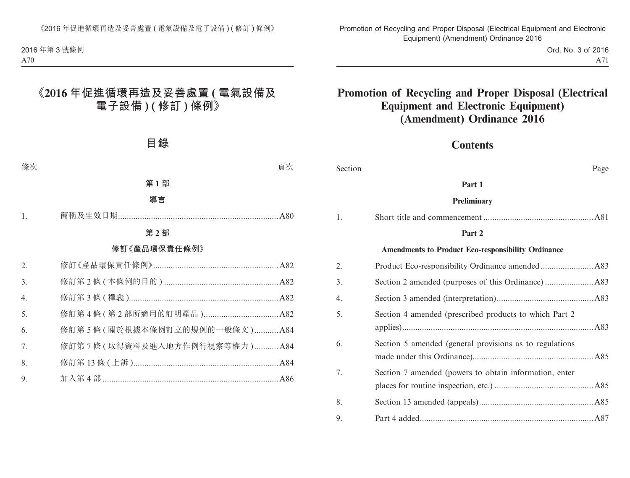|    | 目錄           |    |
|----|--------------|----|
| 條次 |              | 頁次 |
|    | 第1部          |    |
|    | 導言           |    |
| 1. |              |    |
|    | 第2部          |    |
|    | 修訂《產品環保責任條例》 |    |
| 2. |              |    |
| 3. |              |    |

| $\angle$ . |                             |  |
|------------|-----------------------------|--|
| 3.         |                             |  |
| 4.         |                             |  |
| 5.         |                             |  |
| 6.         | 修訂第5條(關於根據本條例訂立的規例的一般條文)A84 |  |
| 7.         | 修訂第7條(取得資料及進入地方作例行視察等權力)A84 |  |
| 8.         |                             |  |
| 9.         |                             |  |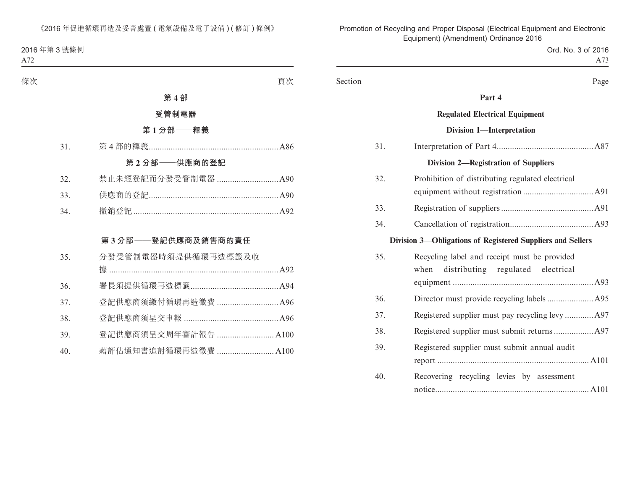| 條次 |     |                      | 頁次 |
|----|-----|----------------------|----|
|    |     | 第4部                  |    |
|    |     | 受管制電器                |    |
|    |     | 第1分部––釋義             |    |
|    | 31. |                      |    |
|    |     | 第2分部 -- 供應商的登記       |    |
|    | 32. | 禁止未經登記而分發受管制電器  A90  |    |
|    | 33. |                      |    |
|    | 34. |                      |    |
|    |     |                      |    |
|    |     | 第3分部 -- 登記供應商及銷售商的責任 |    |
|    |     |                      |    |
|    | 35. | 分發受管制電器時須提供循環再造標籤及收  |    |
|    |     |                      |    |
|    | 36. |                      |    |
|    | 37. | 登記供應商須繳付循環再造徵費  A96  |    |
|    | 38. |                      |    |
|    | 39. | 登記供應商須呈交周年審計報告  A100 |    |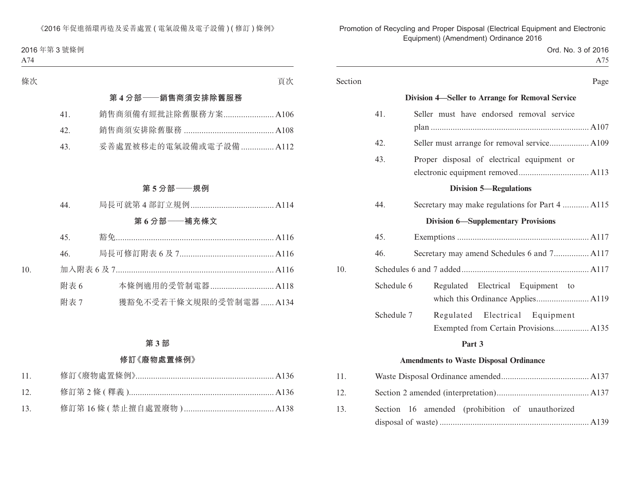| 條次  |      | 頁次                      |
|-----|------|-------------------------|
|     |      | 第4分部——銷售商須安排除舊服務        |
|     | 41.  | 銷售商須備有經批註除舊服務方案 A106    |
|     | 42.  |                         |
|     | 43.  | 妥善處置被移走的電氣設備或電子設備  A112 |
|     |      |                         |
|     |      | 第5分部——規例                |
|     | 44.  |                         |
|     |      | 第6分部——補充條文              |
|     | 45.  |                         |
|     | 46.  |                         |
| 10. |      |                         |
|     | 附表 6 | 本條例適用的受管制電器 A118        |
|     | 附表 7 | 獲豁免不受若干條文規限的受管制電器  A134 |
|     |      |                         |

# **第 3 部**

# **修訂《廢物處置條例》**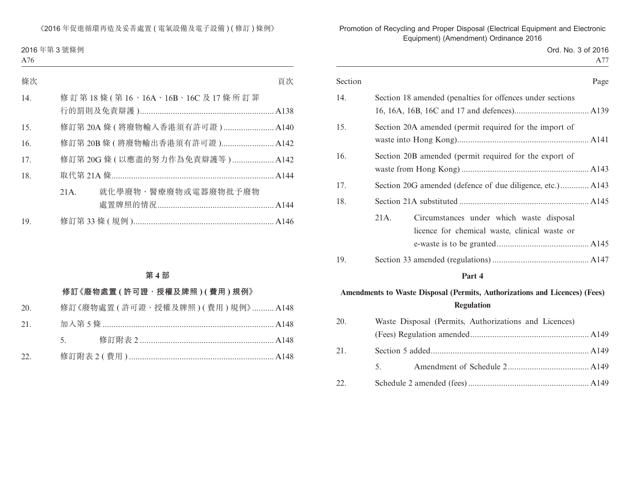| 條次  |      |                                  | 頁次 |
|-----|------|----------------------------------|----|
| 14. |      | 修訂第18條(第16、16A、16B、16C及17條所訂罪    |    |
| 15. |      | 修訂第 20A 條 ( 將廢物輸入香港須有許可證 )  A140 |    |
| 16. |      | 修訂第 20B 條 (將廢物輸出香港須有許可證) A142    |    |
| 17. |      | 修訂第 20G 條 (以應盡的努力作為免責辯護等) A142   |    |
| 18. |      |                                  |    |
|     | 21A. | 就化學廢物、醫療廢物或電器廢物批予廢物              |    |
| 19. |      |                                  |    |

### **第 4 部**

# **修訂《廢物處置 ( 許可證、授權及牌照 ) ( 費用 ) 規例》**

| 20. 修訂《廢物處置 ( 許可證、授權及牌照 ) ( 費用 ) 規例》 A148 |
|-------------------------------------------|
|                                           |
|                                           |
|                                           |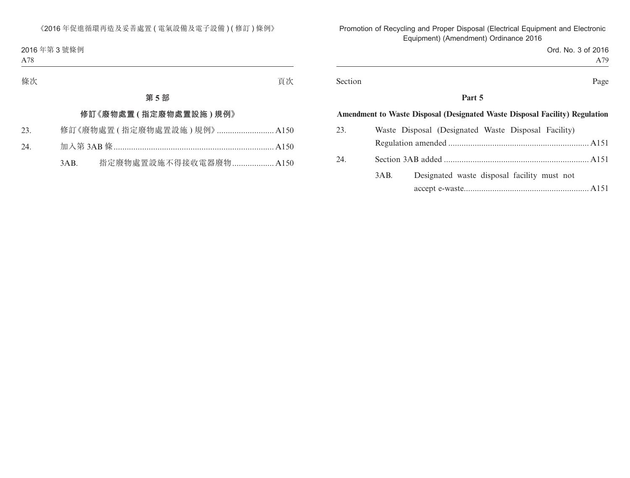| 條次 |     | $\overrightarrow{AB}$ $\overrightarrow{AB}$<br>貝 ひ |  |
|----|-----|----------------------------------------------------|--|
|    | 第5部 |                                                    |  |

### **修訂《廢物處置 ( 指定廢物處置設施 ) 規例》**

| 23. |  |  |  | 修訂《廢物處置(指定廢物處置設施)規例》 A150 |
|-----|--|--|--|---------------------------|
|-----|--|--|--|---------------------------|

- 24. 加入第 3AB 條 ......................................................................... A150
	- 3AB. 指定廢物處置設施不得接收電器廢物 ................... A150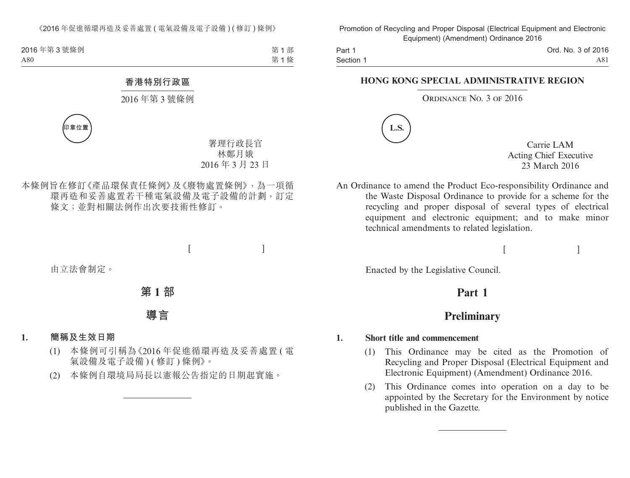第 1 部 第 1 條

### **香港特別行政區**

## 2016 年第 3 號條例



署理行政長官 林鄭月娥 2016 年 3 月 23 日

本條例旨在修訂《產品環保責任條例》及《廢物處置條例》,為一項循 環再造和妥善處置若干種電氣設備及電子設備的計劃,訂定 條文;並對相關法例作出次要技術性修訂。

 $[$ 

由立法會制定。

**第 1 部**

**導言**

### **1. 簡稱及生效日期**

- (1) 本條例可引稱為《2016 年促進循環再造及妥善處置 ( 電 氣設備及電子設備) ( 修訂 ) 條例 》。
- (2) 本條例自環境局局長以憲報公告指定的日期起實施。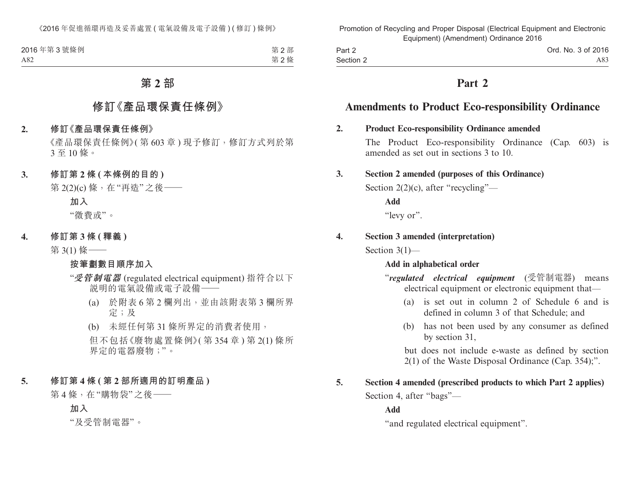| 2016年第3號條例 | 第2部 |
|------------|-----|
| A82        | 第2條 |

# **第 2 部**

# **修訂《產品環保責任條例》**

#### **2. 修訂《產品環保責任條例》**

《產品環保責任條例》( 第 603 章 ) 現予修訂,修訂方式列於第 3 至 10 條。

### **3. 修訂第 2 條 ( 本條例的目的 )**

第 2(2)(c) 條, 在"再造"之後 ——

**加入**

"徵費或"。

**4. 修訂第 3 條 ( 釋義 )**

第 3(1) 條——

### **按筆劃數目順序加入**

- "**受管制電器** (regulated electrical equipment) 指符合以下 說明的電氣設備或電子設備——
	- (a) 於附表 6 第 2 欄列出,並由該附表第 3 欄所界 定;及
	- (b) 未經任何第 31 條所界定的消費者使用,

但不包括《廢物處置條例》( 第 354 章 ) 第 2(1) 條所 界定的電器廢物;"。

# **5. 修訂第 4 條 ( 第 2 部所適用的訂明產品 )**

第4條,在"購物袋"之後––

**加入**

"及受管制電器"。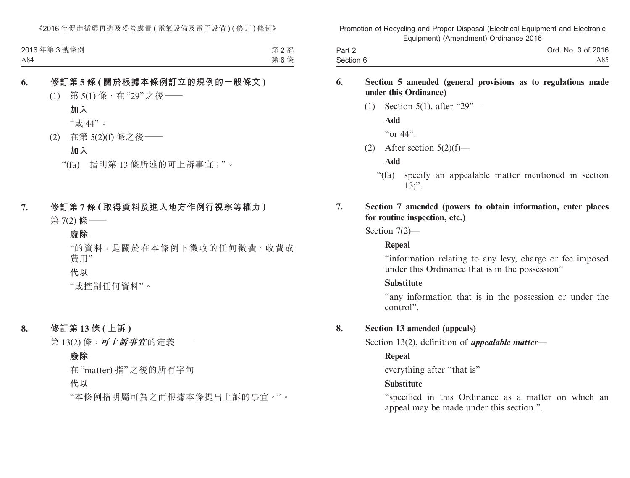| 2016年第3號條例 | 第2部 |
|------------|-----|
| A84        | 第6條 |

### **6. 修訂第 5 條 ( 關於根據本條例訂立的規例的一般條文 )**

(1) 第 5(1) 條,在"29"之後——

**加入**

"或 44"。

(2) 在第 5(2)(f) 條之後——

**加入**

"(fa) 指明第 13 條所述的可上訴事宜;"。

**7. 修訂第 7 條 ( 取得資料及進入地方作例行視察等權力 )** 第 7(2) 條——

### **廢除**

"的資料,是關於在本條例下徵收的任何徵費、收費或 費用"

**代以**

"或控制任何資料"。

**8. 修訂第 13 條 ( 上訴 )**

第 13(2) 條,**可上訴事宜**的定義——

### **廢除**

在"matter) 指"之後的所有字句

**代以**

"本條例指明屬可為之而根據本條提出上訴的事宜。"。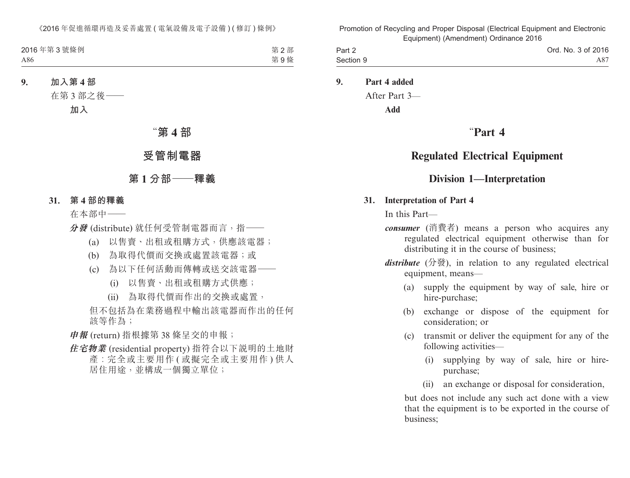| 2016年第3號條例 | 第2部 |
|------------|-----|
| A86        | 第9條 |

**9. 加入第 4 部**

在第 3 部之後——

**加入**

# "**第 4 部**

# **受管制電器**

# **第 1 分部——釋義**

 **31. 第 4 部的釋義**

在本部中——

**分發** (distribute) 就任何受管制電器而言,指——

- (a) 以售賣、出租或租購方式,供應該電器;
- (b) 為取得代價而交換或處置該電器;或
- (c) 為以下任何活動而傳轉或送交該電器——
	- (i) 以售賣、出租或租購方式供應;
	- (ii) 為取得代價而作出的交換或處置,

但不包括為在業務過程中輸出該電器而作出的任何 該等作為;

**申報** (return) 指根據第 38 條呈交的申報;

**住宅物業** (residential property) 指符合以下說明的土地財 產︰完全或主要用作 ( 或擬完全或主要用作 ) 供人 居住用途,並構成一個獨立單位;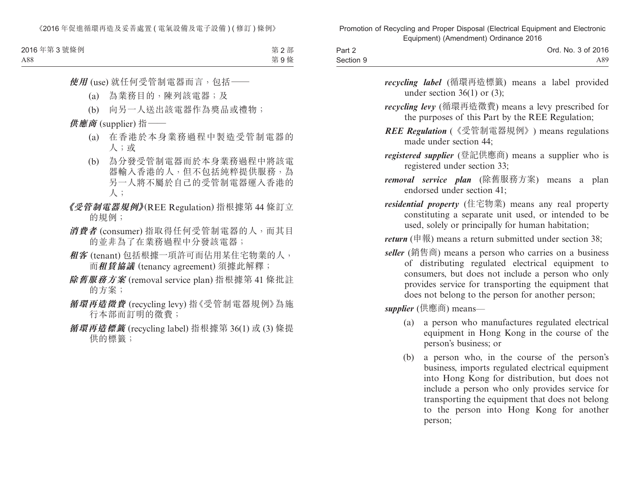| 2016年第3號條例 | 第2部 |
|------------|-----|
| A88        | 第9條 |

**使用** (use) 就任何受管制電器而言,包括——

- (a) 為業務目的,陳列該電器;及
- (b) 向另一人送出該電器作為獎品或禮物;

# **供應商** (supplier) 指——

- (a) 在香港於本身業務過程中製造受管制電器的 人;或
- (b) 為分發受管制電器而於本身業務過程中將該電 器輸入香港的人,但不包括純粹提供服務,為 另一人將不屬於自己的受管制電器運入香港的 人;
- **《受管制電器規例》**(REE Regulation) 指根據第 44 條訂立 的規例;
- **消費者** (consumer) 指取得任何受管制電器的人,而其目 的並非為了在業務過程中分發該電器;
- **租客** (tenant) 包括根據一項許可而佔用某住宅物業的人, 而**租賃協議** (tenancy agreement) 須據此解釋;
- **除舊服務方案** (removal service plan) 指根據第 41 條批註 的方案;
- **循環再造徵費** (recycling levy) 指《受管制電器規例》為施 行本部而訂明的徵費;
- **循環再造標籤** (recycling label) 指根據第 36(1) 或 (3) 條提 供的標籤;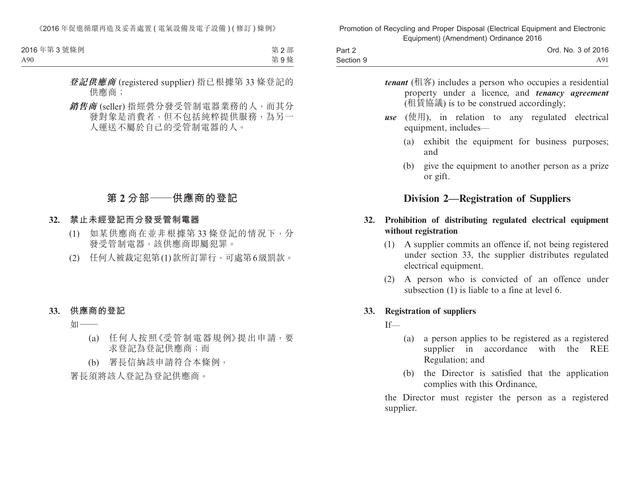| 2016年第3號條例 | 第2部 |
|------------|-----|
| A90        | 第9條 |

- **登記供應商** (registered supplier) 指已根據第 33 條登記的 供應商;
- **銷售商** (seller) 指經營分發受管制電器業務的人,而其分 發對象是消費者,但不包括純粹提供服務,為另一 人運送不屬於自己的受管制電器的人。

# **第 2 分部——供應商的登記**

- **32. 禁止未經登記而分發受管制電器**
	- (1) 如某供應商在並非根據第 33 條登記的情況下,分 發受管制電器,該供應商即屬犯罪。
	- (2) 任何人被裁定犯第(1)款所訂罪行,可處第6級罰款。

### **33. 供應商的登記**

如-

(a) 任何人按照《受管制電器規例》提出申請,要 求登記為登記供應商;而

(b) 署長信納該申請符合本條例,

署長須將該人登記為登記供應商。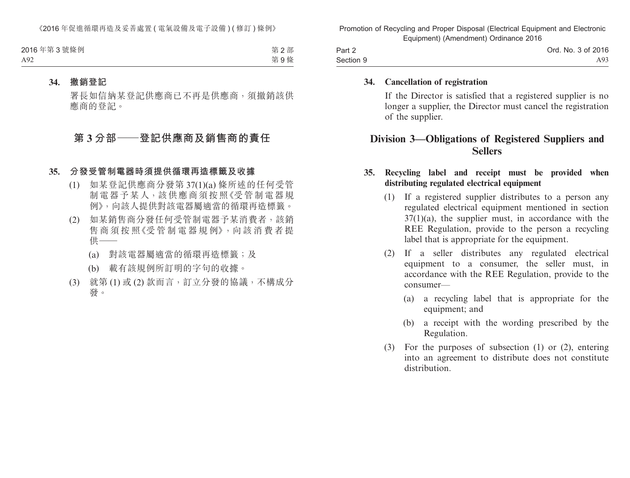| 2016年第3號條例 | 第2部 |
|------------|-----|
| A92        | 第9條 |

#### **34. 撤銷登記**

署長如信納某登記供應商已不再是供應商,須撤銷該供 應商的登記。

# **第 3 分部——登記供應商及銷售商的責任**

#### **35. 分發受管制電器時須提供循環再造標籤及收據**

- (1) 如某登記供應商分發第 37(1)(a) 條所述的任何受管 制電器予某人,該供應商須按照《受管制電器規 例》,向該人提供對該電器屬適當的循環再造標籤。
- (2) 如某銷售商分發任何受管制電器予某消費者,該銷 售 商 須 按 照《受 管 制 雷 器 規 例》, 向 該 消 費 者 提 供——
	- (a) 對該電器屬適當的循環再造標籤;及
	- (b) 載有該規例所訂明的字句的收據。
- (3) 就第 (1) 或 (2) 款而言,訂立分發的協議,不構成分 發。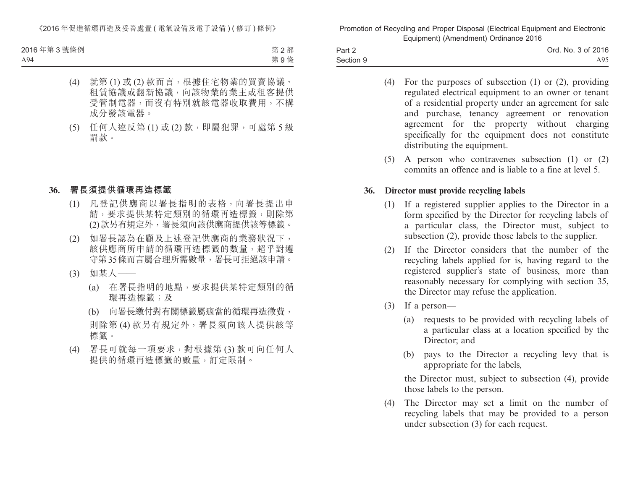2016 年第 3 號條例 A94

第 2 部 第 9 條

- (4) 就第 (1) 或 (2) 款而言,根據住宅物業的買賣協議、 租賃協議或翻新協議,向該物業的業主或租客提供 受管制電器,而沒有特別就該電器收取費用,不構 成分發該電器。
- (5) 任何人違反第 (1) 或 (2) 款,即屬犯罪,可處第 5 級 罰款。

### **36. 署長須提供循環再造標籤**

- (1) 凡登記供應商以署長指明的表格,向署長提出申 請,要求提供某特定類別的循環再造標籤,則除第 (2)款另有規定外,署長須向該供應商提供該等標籤。
- (2) 如署長認為在顧及上述登記供應商的業務狀況下, 該供應商所申請的循環再造標籤的數量,超乎對遵 守第35條而言屬合理所需數量,署長可拒絕該申請。
- (3) 如某人——
	- (a) 在署長指明的地點,要求提供某特定類別的循 環再造標籤;及
	- (b) 向署長繳付對有關標籤屬適當的循環再造徵費, 則除第 (4) 款另有規定外,署長須向該人提供該等 標籤。
- (4) 署長可就每一項要求,對根據第 (3) 款可向任何人 提供的循環再造標籤的數量,訂定限制。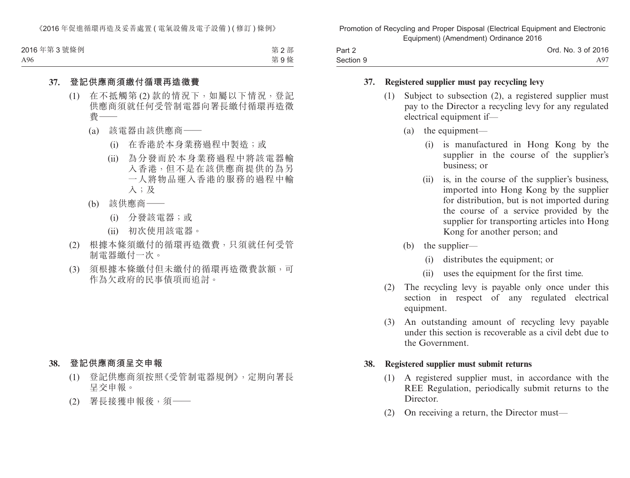第 2 部 第 9 條 2016 年第 3 號條例 A96

### **37. 登記供應商須繳付循環再造徵費**

- (1) 在不抵觸第 (2) 款的情況下,如屬以下情況,登記 供應商須就任何受管制電器向署長繳付循環再造徵 費——
	- (a) 該電器由該供應商——
		- (i) 在香港於本身業務過程中製造;或
		- (ii) 為分發而於本身業務過程中將該電器輸 入香港,但不是在該供應商提供的為另 一人將物品運入香港的服務的過程中輸 入;及
	- (b) 該供應商——
		- (i) 分發該電器;或
		- (ii) 初次使用該電器。
- (2) 根據本條須繳付的循環再造徵費,只須就任何受管 制電器繳付一次。
- (3) 須根據本條繳付但未繳付的循環再造徵費款額,可 作為欠政府的民事債項而追討。

### **38. 登記供應商須呈交申報**

- (1) 登記供應商須按照《受管制電器規例》,定期向署長 呈交申報。
- (2) 署長接獲申報後,須——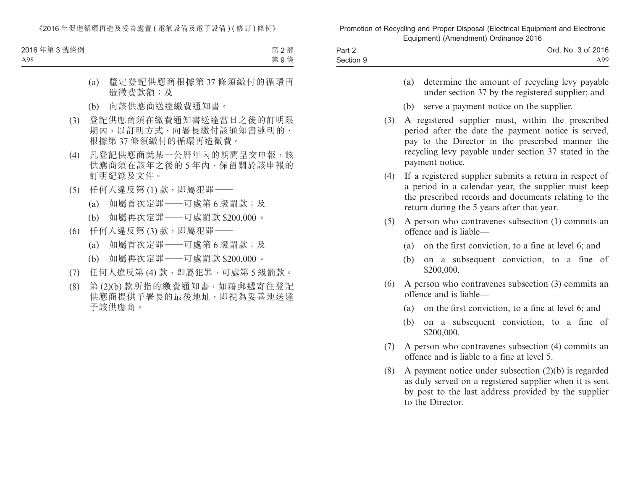| 2016年第3號條例 | 第2部 |
|------------|-----|
| A98        | 第9條 |

- (a) 釐定登記供應商根據第 37 條須繳付的循環再 造徵費款額;及
- (b) 向該供應商送達繳費通知書。
- (3) 登記供應商須在繳費通知書送達當日之後的訂明限 期內,以訂明方式,向署長繳付該通知書述明的、 根據第 37 條須繳付的循環再造徵費。
- (4) 凡登記供應商就某一公曆年內的期間呈交申報,該 供應商須在該年之後的 5 年內,保留關於該申報的 訂明紀錄及文件。
- (5) 任何人違反第 (1) 款,即屬犯罪——
	- (a) 如屬首次定罪——可處第 6 級罰款;及
	- (b) 如屬再次定罪——可處罰款 \$200,000。
- (6) 任何人違反第 (3) 款,即屬犯罪——
	- (a) 如屬首次定罪——可處第 6 級罰款;及
	- (b) 如屬再次定罪——可處罰款 \$200,000。
- (7) 任何人違反第 (4) 款,即屬犯罪,可處第 5 級罰款。
- (8) 第 (2)(b) 款所指的繳費通知書,如藉郵遞寄往登記 供應商提供予署長的最後地址,即視為妥善地送達 予該供應商。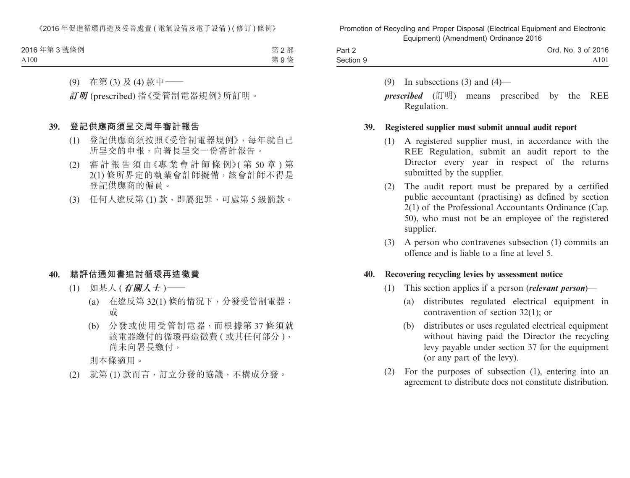| 2016年第3號條例 | 第2部 |
|------------|-----|
| A100       | 第9條 |

(9) 在第 (3) 及 (4) 款中——

**訂明** (prescribed) 指《受管制電器規例》所訂明。

### **39. 登記供應商須呈交周年審計報告**

- (1) 登記供應商須按照《受管制電器規例》,每年就自己 所呈交的申報,向署長呈交一份審計報告。
- (2) 審 計 報 告 須 由《專 業 會 計 師 條 例》( 第 50 章 ) 第 2(1) 條所界定的執業會計師擬備,該會計師不得是 登記供應商的僱員。
- (3) 任何人違反第 (1) 款,即屬犯罪,可處第 5 級罰款。

### **40. 藉評估通知書追討循環再造徵費**

- (1) 如某人 (**有關人士** )——
	- (a) 在違反第 32(1) 條的情況下,分發受管制電器; 或
	- (b) 分發或使用受管制電器,而根據第 37 條須就 該電器繳付的循環再造徵費 ( 或其任何部分 ), 尚未向署長繳付,

則本條適用。

(2) 就第 (1) 款而言,訂立分發的協議,不構成分發。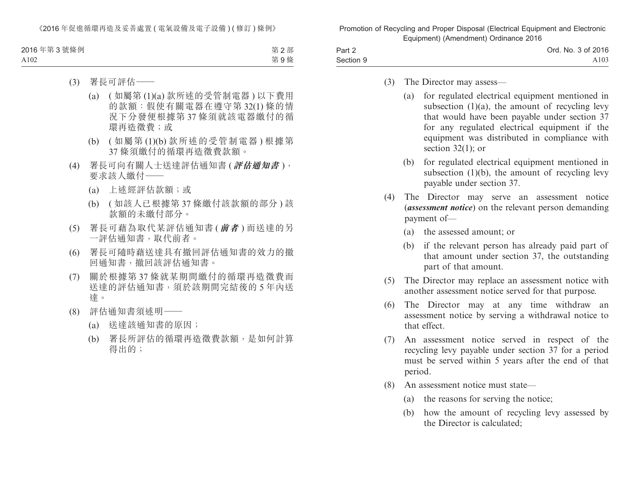| 2016年第3號條例 | 第2部 |
|------------|-----|
| A102       | 第9條 |

- (3) 署長可評估——
	- (a) ( 如屬第 (1)(a) 款所述的受管制電器 ) 以下費用 的款額:假使有關電器在遵守第 32(1) 條的情 況下分發便根據第 37 條須就該電器繳付的循 環再造徵費;或
	- (b) ( 如屬第 (1)(b) 款所述的受管制電器 ) 根據第 37 條須繳付的循環再造徵費款額。
- (4) 署長可向有關人士送達評估通知書 (**評估通知書** ), 要求該人繳付——
	- (a) 上述經評估款額;或
	- (b) ( 如該人已根據第 37 條繳付該款額的部分 ) 該 款額的未繳付部分。
- (5) 署長可藉為取代某評估通知書 (**前者** ) 而送達的另 一評估通知書,取代前者。
- (6) 署長可隨時藉送達具有撤回評估通知書的效力的撤 回通知書,撤回該評估通知書。
- (7) 關於根據第 37 條就某期間繳付的循環再造徵費而 送達的評估通知書,須於該期間完結後的 5 年內送 達。
- (8) 評估通知書須述明——
	- (a) 送達該通知書的原因;
	- (b) 署長所評估的循環再造徵費款額,是如何計算 得出的;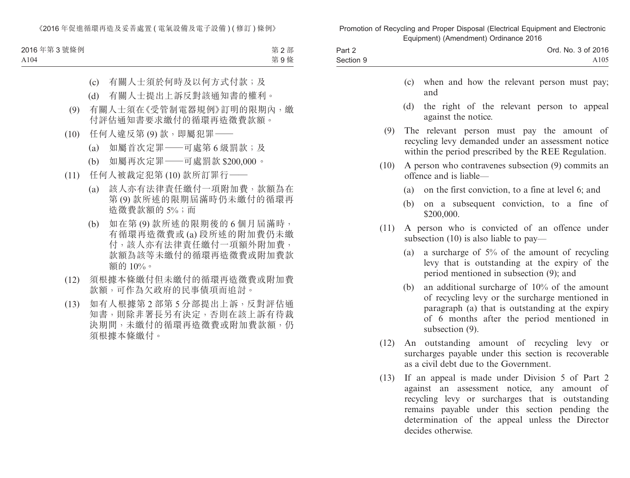| 2016年第3號條例 | 第2部 |
|------------|-----|
| A104       | 第9條 |

- (c) 有關人士須於何時及以何方式付款;及
- (d) 有關人士提出上訴反對該通知書的權利。
- (9) 有關人士須在《受管制電器規例》訂明的限期內,繳 付評估通知書要求繳付的循環再造徵費款額。
- (10) 任何人違反第 (9) 款,即屬犯罪——
	- (a) 如屬首次定罪——可處第 6 級罰款;及
	- (b) 如屬再次定罪——可處罰款 \$200,000。
- (11) 任何人被裁定犯第 (10) 款所訂罪行——
	- (a) 該人亦有法律責任繳付一項附加費,款額為在 第 (9) 款所述的限期屆滿時仍未繳付的循環再 造徵費款額的 5%;而
	- (b) 如在第 (9) 款所述的限期後的 6 個月屆滿時, 有循環再造徵費或 (a) 段所述的附加費仍未繳 付,該人亦有法律責任繳付一項額外附加費, 款額為該等未繳付的循環再造徵費或附加費款 額的 10%。
- (12) 須根據本條繳付但未繳付的循環再造徵費或附加費 款額,可作為欠政府的民事債項而追討。
- (13) 如有人根據第 2 部第 5 分部提出上訴,反對評估通 知書,則除非署長另有決定,否則在該上訴有待裁 決期間,未繳付的循環再造徵費或附加費款額,仍 須根據本條繳付。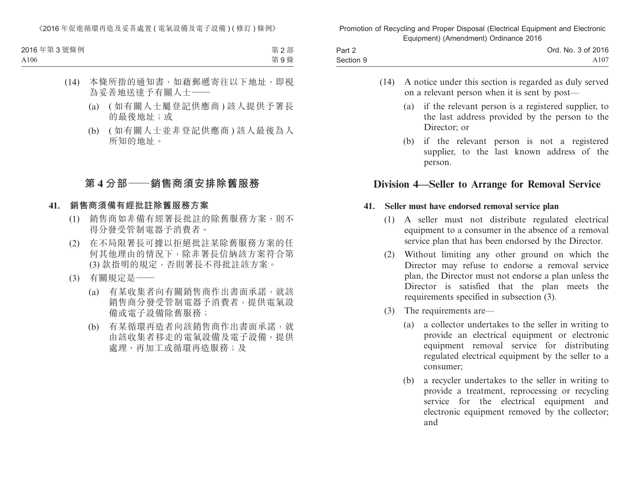| 2016年第3號條例 | 第2部 |
|------------|-----|
| A106       | 第9條 |

- (14) 本條所指的通知書,如藉郵遞寄往以下地址,即視 為妥善地送達予有關人士——
	- (a) ( 如有關人士屬登記供應商 ) 該人提供予署長 的最後地址;或
	- (b) ( 如有關人士並非登記供應商 ) 該人最後為人 所知的地址。

# **第 4 分部——銷售商須安排除舊服務**

### **41. 銷售商須備有經批註除舊服務方案**

- (1) 銷售商如非備有經署長批註的除舊服務方案,則不 得分發受管制電器予消費者。
- (2) 在不局限署長可據以拒絕批註某除舊服務方案的任 何其他理由的情況下,除非署長信納該方案符合第 (3) 款指明的規定,否則署長不得批註該方案。
- (3) 有關規定是——
	- (a) 有某收集者向有關銷售商作出書面承諾,就該 銷售商分發受管制電器予消費者,提供電氣設 備或電子設備除舊服務;
	- (b) 有某循環再造者向該銷售商作出書面承諾,就 由該收集者移走的電氣設備及電子設備,提供 處理、再加工或循環再造服務;及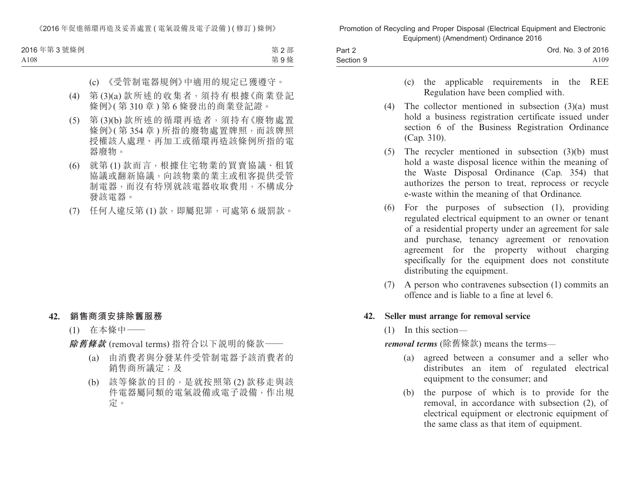| 2016年第3號條例 | 第2部 |
|------------|-----|
| A108       | 第9條 |

- (c) 《受管制電器規例》中適用的規定已獲遵守。
- (4) 第 (3)(a) 款所述的收集者,須持有根據《商業登記 條例》( 第 310 章 ) 第 6 條發出的商業登記證。
- (5) 第 (3)(b) 款所述的循環再造者,須持有《廢物處置 條例》(第354章)所指的廢物處置牌照,而該牌照 授權該人處理、再加工或循環再造該條例所指的電 器廢物。
- (6) 就第 (1) 款而言,根據住宅物業的買賣協議、租賃 協議或翻新協議,向該物業的業主或租客提供受管 制電器,而沒有特別就該電器收取費用,不構成分 發該電器。
- (7) 任何人違反第 (1) 款,即屬犯罪,可處第 6 級罰款。

#### **42. 銷售商須安排除舊服務**

(1) 在本條中——

**除舊條款** (removal terms) 指符合以下說明的條款——

- (a) 由消費者與分發某件受管制電器予該消費者的 銷售商所議定;及
- (b) 該等條款的目的,是就按照第 (2) 款移走與該 件電器屬同類的電氣設備或電子設備,作出規 定。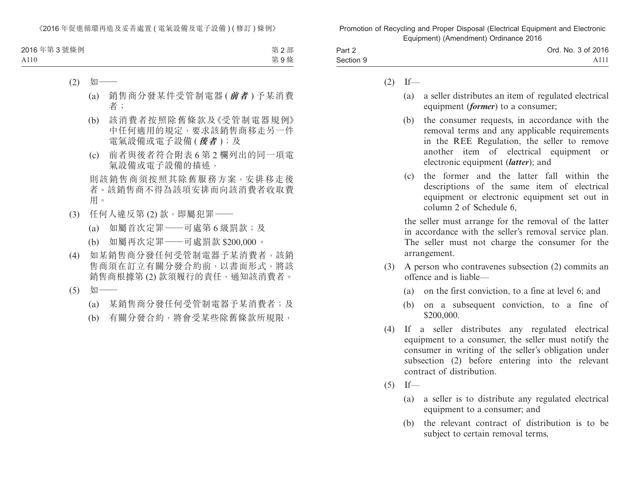| 2016年第3號條例 | 第2部 |
|------------|-----|
| A110       | 第9條 |

- $(2)$   $\sqrt[4]{\frac{1}{2}}$ 
	- (a) 銷售商分發某件受管制電器 (**前者** ) 予某消費 者;
	- (b) 該消費者按照除舊條款及《受管制電器規例》 中任何適用的規定,要求該銷售商移走另一件 電氣設備或電子設備 (**後者** );及
	- (c) 前者與後者符合附表 6 第 2 欄列出的同一項電 氣設備或電子設備的描述,

則該銷售商須按照其除舊服務方案,安排移走後 者。該銷售商不得為該項安排而向該消費者收取費 用。

- (3) 任何人違反第 (2) 款,即屬犯罪——
	- (a) 如屬首次定罪–––可處第 6 級罰款;及
	- (b) 如屬再次定罪——可處罰款 \$200,000。
- (4) 如某銷售商分發任何受管制電器予某消費者,該銷 售商須在訂立有關分發合約前,以書面形式,將該 銷售商根據第(2)款須履行的責任,通知該消費者。
- (5) 如一
	- (a) 某銷售商分發任何受管制電器予某消費者;及
	- (b) 有關分發合約,將會受某些除舊條款所規限,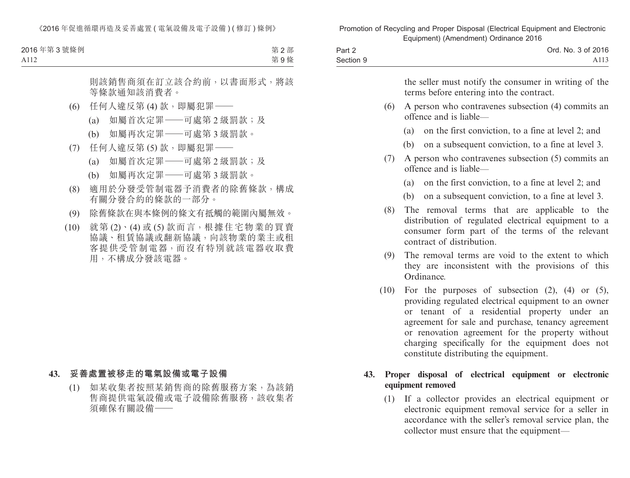| 2016年第3號條例 | 第2部 |
|------------|-----|
| A112       | 第9條 |

則該銷售商須在訂立該合約前,以書面形式,將該 等條款通知該消費者。

- (6) 任何人違反第 (4) 款,即屬犯罪——
	- (a) 如屬首次定罪——可處第 2 級罰款;及
	- (b) 如屬再次定罪——可處第 3 級罰款。
- (7) 任何人違反第 (5) 款,即屬犯罪——
	- (a) 如屬首次定罪——可處第 2 級罰款;及
	- (b) 如屬再次定罪——可處第 3 級罰款。
- (8) 適用於分發受管制電器予消費者的除舊條款,構成 有關分發合約的條款的一部分。
- (9) 除舊條款在與本條例的條文有抵觸的範圍內屬無效。
- (10) 就第 (2)、(4) 或 (5) 款而言,根據住宅物業的買賣 協議、租賃協議或翻新協議,向該物業的業主或租 客提供受管制電器,而沒有特別就該電器收取費 用,不構成分發該電器。

### **43. 妥善處置被移走的電氣設備或電子設備**

(1) 如某收集者按照某銷售商的除舊服務方案,為該銷 售商提供電氣設備或電子設備除舊服務,該收集者 須確保有關設備——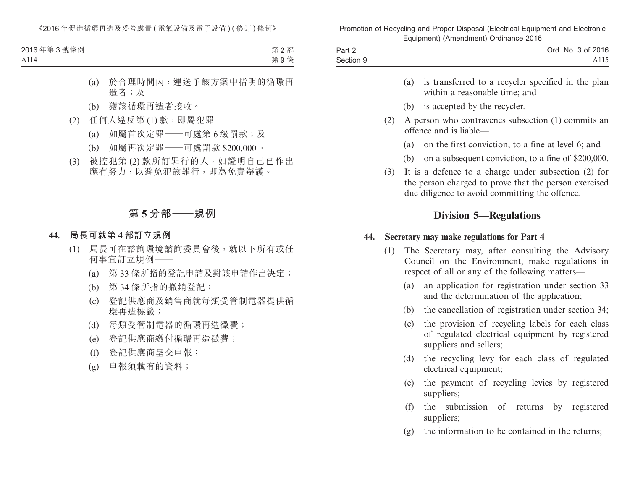| 2016年第3號條例 | 第2部 |
|------------|-----|
| A114       | 第9條 |

- (a) 於合理時間內,運送予該方案中指明的循環再 造者;及
- (b) 獲該循環再造者接收。
- (2) 任何人違反第 (1) 款,即屬犯罪——
	- (a) 如屬首次定罪——可處第 6 級罰款;及
	- (b) 如屬再次定罪——可處罰款 \$200,000。
- (3) 被控犯第 (2) 款所訂罪行的人,如證明自己已作出 應有努力,以避免犯該罪行,即為免責辯護。

# **第 5 分部——規例**

### **44. 局長可就第 4 部訂立規例**

- (1) 局長可在諮詢環境諮詢委員會後,就以下所有或任 何事宜訂立規例——
	- (a) 第 33 條所指的登記申請及對該申請作出決定;
	- (b) 第 34 條所指的撤銷登記;
	- (c) 登記供應商及銷售商就每類受管制電器提供循 環再造標籤;
	- (d) 每類受管制電器的循環再造徵費;
	- (e) 登記供應商繳付循環再造徵費;
	- (f) 登記供應商呈交申報;
	- (g) 申報須載有的資料;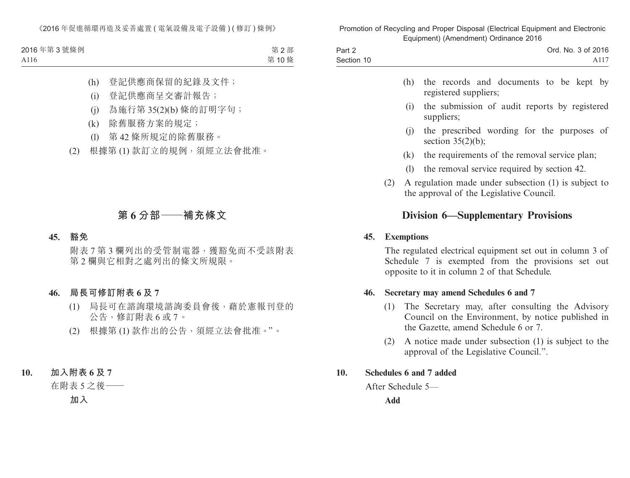| 2016年第3號條例 | 第2部  |
|------------|------|
| A116       | 第10條 |

- (h) 登記供應商保留的紀錄及文件;
- (i) 登記供應商呈交審計報告;
- (j) 為施行第 35(2)(b) 條的訂明字句;
- (k) 除舊服務方案的規定;
- (l) 第 42 條所規定的除舊服務。
- (2) 根據第 (1) 款訂立的規例,須經立法會批准。

# **第 6 分部——補充條文**

#### **45. 豁免**

附表 7 第 3 欄列出的受管制電器,獲豁免而不受該附表 第 2 欄與它相對之處列出的條文所規限。

### **46. 局長可修訂附表 6 及 7**

- (1) 局長可在諮詢環境諮詢委員會後,藉於憲報刊登的 公告,修訂附表 6 或 7。
- (2) 根據第 (1) 款作出的公告,須經立法會批准。"。

## **10. 加入附表 6 及 7**

在附表 5 之後——

**加入**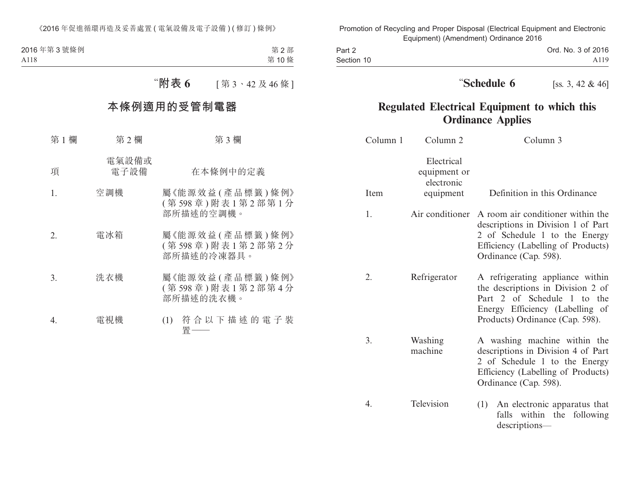| 2016年第3號條例 | 第2部  |
|------------|------|
| A118       | 第10條 |
|            |      |

# "**附表 6** [ 第 3、42 及 46 條 ]

# **本條例適用的受管制電器**

| 第1欄            | 第2欄           | 第3欄                                               |
|----------------|---------------|---------------------------------------------------|
| 項              | 電氣設備或<br>電子設備 | 在本條例中的定義                                          |
| $\mathbf{1}$ . | 空調機           | 屬《能源效益(產品標籤)條例》<br>(第598章)附表1第2部第1分<br>部所描述的空調機。  |
| 2.             | 電冰箱           | 屬《能源效益(產品標籤)條例》<br>(第598章)附表1第2部第2分<br>部所描述的冷凍器具。 |
| 3.             | 洗衣機           | 屬《能源效益(產品標籤)條例》<br>(第598章)附表1第2部第4分<br>部所描述的洗衣機。  |
| 4.             | 電視機           | 符合以下描述的電子裝<br>(1)<br>首・                           |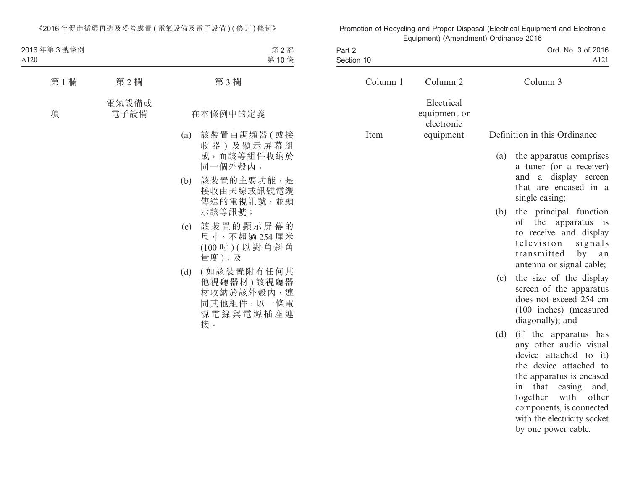| 2016年第3號條例<br>A120 |               |     | 第2部<br>第10條                                                             |
|--------------------|---------------|-----|-------------------------------------------------------------------------|
| 第1欄                | 第2欄           |     | 第3欄                                                                     |
| 項                  | 電氣設備或<br>電子設備 |     | 在本條例中的定義                                                                |
|                    |               | (a) | 該裝置由調頻器(或接<br>收器)及顯示屏幕組<br>成,而該等組件收納於<br>同一個外殼內;                        |
|                    |               | (b) | 該裝置的主要功能,是<br>接收由天線或訊號電纜<br>傳送的電視訊號,並顯<br>示該等訊號;                        |
|                    |               | (c) | 該裝置的顯示屏幕的<br>尺寸,不超過254厘米<br>(100 吋)(以對角斜角<br>量度);及                      |
|                    |               | (d) | (如該裝置附有任何其<br>他視聽器材)該視聽器<br>材收納於該外殼內,連<br>同其他組件,以一條電<br>源電線與電源插座連<br>接。 |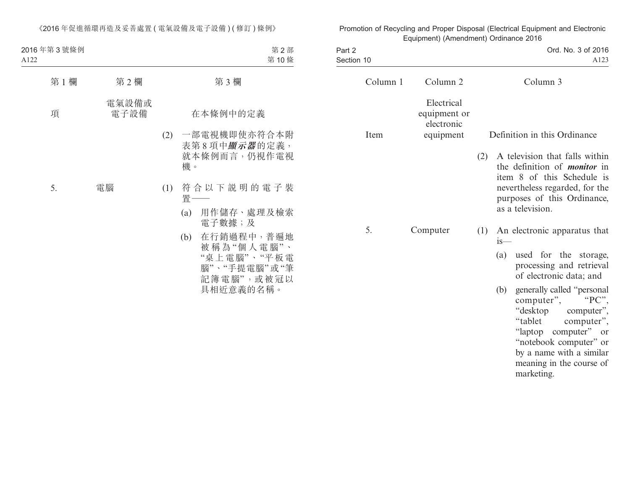| 2016年第3號條例<br>A122 |               |     | 第2部<br>第10條                                                                               |
|--------------------|---------------|-----|-------------------------------------------------------------------------------------------|
| 第1欄                | 第2欄           |     | 第3欄                                                                                       |
| 項                  | 電氣設備或<br>電子設備 |     | 在本條例中的定義                                                                                  |
|                    |               | (2) | 一部電視機即使亦符合本附<br>表第8項中 <i>顯示器</i> 的定義,<br>就本條例而言,仍視作電視<br>機。                               |
| 5.                 | 電腦            | (1) | 符合以下説明的電子裝<br>置—                                                                          |
|                    |               |     | 用作儲存、處理及檢索<br>(a)<br>電子數據;及                                                               |
|                    |               |     | 在行銷過程中,普遍地<br>(b)<br>被稱為"個人電腦"、<br>"桌上電腦"、"平板電<br>腦"、"手提電腦"或"筆<br>記簿電腦",或被冠以<br>具相近意義的名稱。 |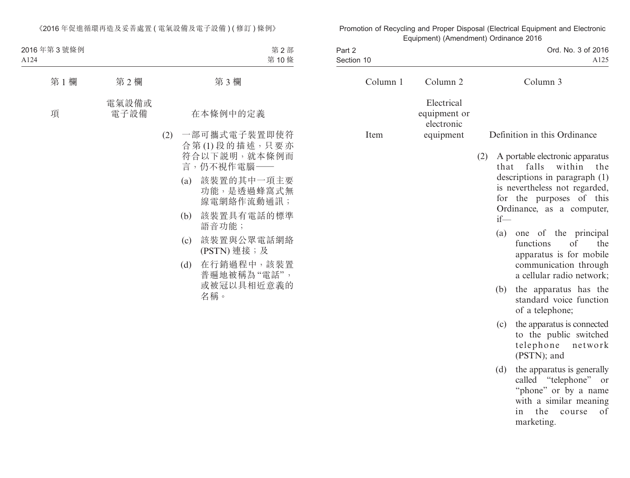| 2016年第3號條例<br>A124 |               |     |                          | 第2部<br>第10條                                                                                                                                                                                                |
|--------------------|---------------|-----|--------------------------|------------------------------------------------------------------------------------------------------------------------------------------------------------------------------------------------------------|
| 第1欄                | 第2欄           |     |                          | 第3欄                                                                                                                                                                                                        |
| 項                  | 電氣設備或<br>電子設備 |     |                          | 在本條例中的定義                                                                                                                                                                                                   |
|                    |               | (2) | (a)<br>(b)<br>(c)<br>(d) | 一部可攜式電子裝置即使符<br>合第(1)段的描述,只要亦<br>符合以下説明,就本條例而<br>言,仍不視作電腦—<br>該裝置的其中一項主要<br>功能,是透過蜂窩式無<br>線電網絡作流動通訊;<br>該裝置具有電話的標準<br>語音功能;<br>該裝置與公眾電話網絡<br>(PSTN) 連接;及<br>在行銷過程中,該裝置<br>普遍地被稱為"電話",<br>或被冠以具相近意義的<br>名稱。 |
|                    |               |     |                          |                                                                                                                                                                                                            |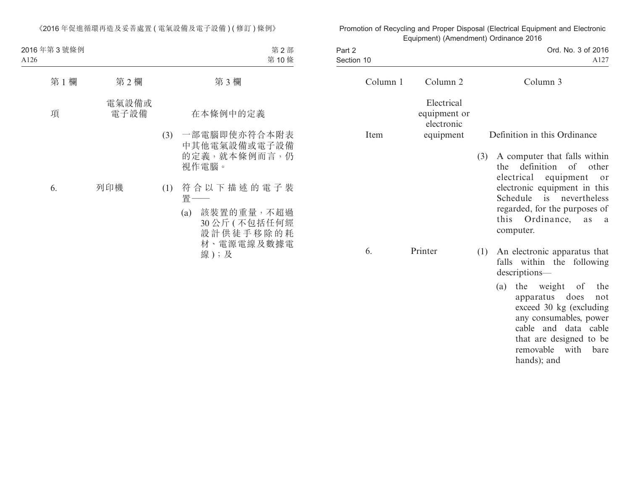| 2016年第3號條例<br>A126 |               |     | 第2部<br>第10條                                                                          |
|--------------------|---------------|-----|--------------------------------------------------------------------------------------|
| 第1欄                | 第2欄           |     | 第3欄                                                                                  |
| 項                  | 電氣設備或<br>電子設備 |     | 在本條例中的定義                                                                             |
|                    |               | (3) | 一部電腦即使亦符合本附表<br>中其他電氣設備或電子設備<br>的定義, 就本條例而言, 仍<br>視作電腦。                              |
| 6.                 | 列印機           | (1) | 符合以下描述的電子裝<br>置—<br>(a) 該裝置的重量,不超過<br>30公斤(不包括任何經<br>設計供徒手移除的耗<br>材、電源電線及數據電<br>線);及 |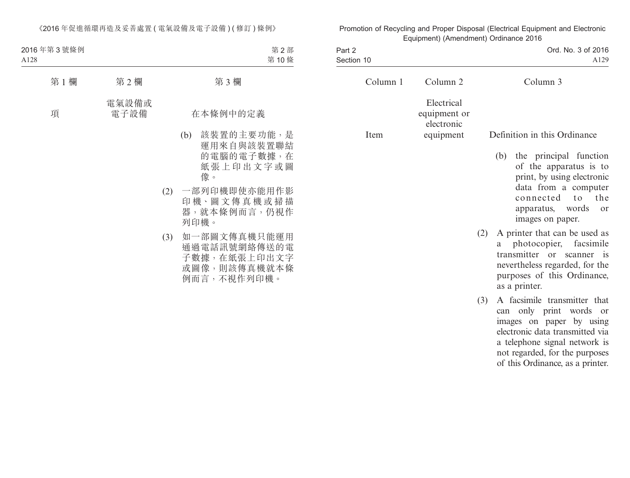| 2016年第3號條例<br>A128 |               |     | 第2部<br>第10條                                                                 |
|--------------------|---------------|-----|-----------------------------------------------------------------------------|
| 第1欄                | 第2欄           |     | 第3欄                                                                         |
| 項                  | 電氣設備或<br>電子設備 |     | 在本條例中的定義                                                                    |
|                    |               |     | 該裝置的主要功能,是<br>(b)<br>運用來自與該裝置聯結<br>的電腦的電子數據,在<br>紙張上印出文字或圖<br>像。            |
|                    |               | (2) | 一部列印機即使亦能用作影<br>印機、圖文傳真機或掃描<br>器,就本條例而言,仍視作<br>列印機。                         |
|                    |               | (3) | 如一部圖文傳真機只能運用<br>通過電話訊號網絡傳送的電<br>子數據,在紙張上印出文字<br>或圖像,則該傳真機就本條<br>例而言,不視作列印機。 |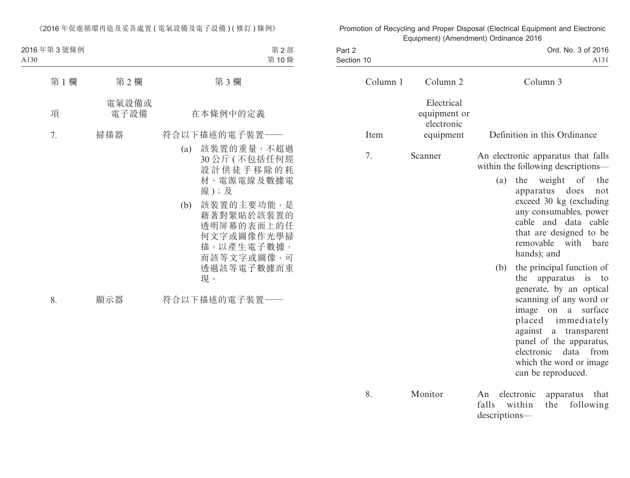| 2016年第3號條例<br>A130 |               | 第2部<br>第10條                                                                                                                                                                                      |
|--------------------|---------------|--------------------------------------------------------------------------------------------------------------------------------------------------------------------------------------------------|
| 第1欄                | 第2欄           | 第3欄                                                                                                                                                                                              |
| 項                  | 電氣設備或<br>電子設備 | 在本條例中的定義                                                                                                                                                                                         |
| 7.                 | 掃描器           | 符合以下描述的電子裝置——<br>(a) 該裝置的重量,不超過<br>30公斤(不包括任何經<br>設計供徒手移除的耗<br>材、電源電線及數據電<br>線);及<br>該裝置的主要功能,是<br>(b)<br>藉著對緊貼於該裝置的<br>透明屏幕的表面上的任<br>何文字或圖像作光學掃<br>描,以產生電子數據,<br>而該等文字或圖像,可<br>透過該等電子數據而重<br>現。 |
| 8.                 | 顯示器           | 符合以下描述的電子裝置一                                                                                                                                                                                     |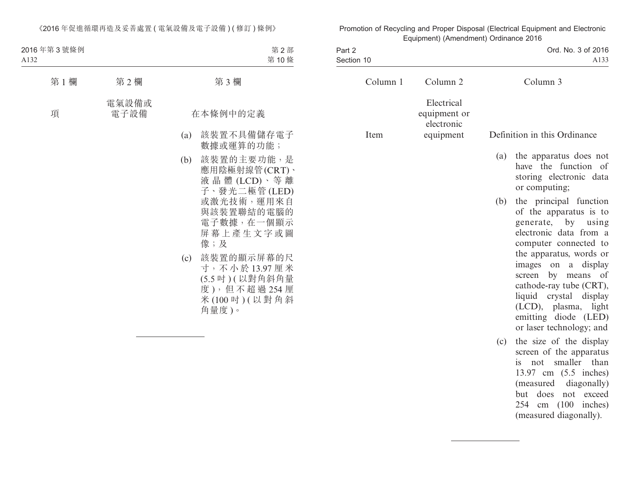| 2016年第3號條例<br>A132 |               |     | 第2部<br>第10條                                                                                                              |
|--------------------|---------------|-----|--------------------------------------------------------------------------------------------------------------------------|
| 第1欄                | 第2欄           |     | 第3欄                                                                                                                      |
| 項                  | 電氣設備或<br>電子設備 |     | 在本條例中的定義                                                                                                                 |
|                    |               | (a) | 該裝置不具備儲存電子<br>數據或運算的功能;                                                                                                  |
|                    |               | (b) | 該裝置的主要功能,是<br>應用陰極射線管(CRT)、<br>液晶體(LCD)、等離<br>子、發光二極管(LED)<br>或激光技術,運用來自<br>與該裝置聯結的電腦的<br>電子數據,在一個顯示<br>屏幕上產生文字或圖<br>像;及 |
|                    |               | (c) | 該裝置的顯示屏幕的尺<br>寸,不小於13.97厘米<br>(5.5 吋)(以對角斜角量<br>度),但不超過254厘<br>米(100 吋)(以對角斜<br>角量度)。                                    |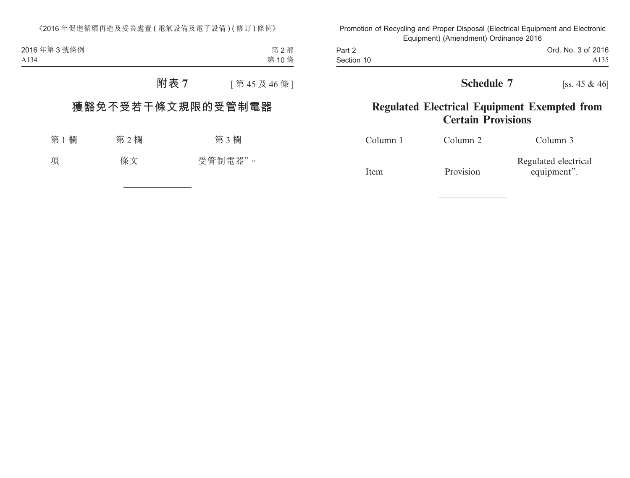第 2 部 第 10 條 2016 年第 3 號條例 A134

**附表 7** [ 第 45 及 46 條 ]

# **獲豁免不受若干條文規限的受管制電器**

| 第1欄 | 第2欄 | 第3欄     |
|-----|-----|---------|
| 項   | 條文  | 受管制電器"。 |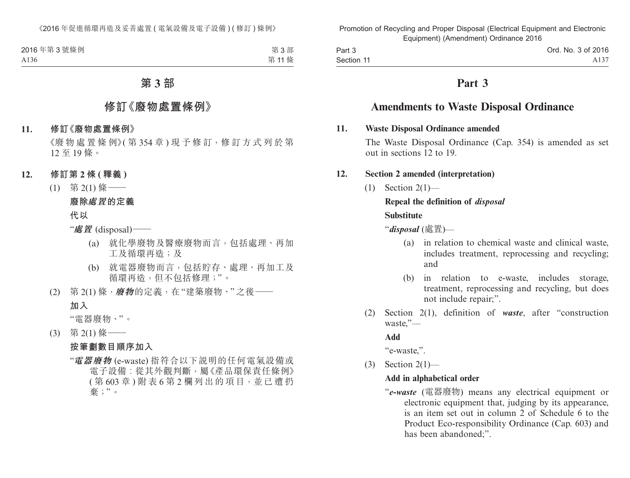| 2016年第3號條例       | 第3部  |
|------------------|------|
| A <sub>136</sub> | 第11條 |

# **第 3 部**

# **修訂《廢物處置條例》**

#### **11. 修訂《廢物處置條例》**

《廢 物 處 置 條 例》( 第 354 章) 現 予 修 訂, 修 訂 方 式 列 於 第 12 至 19 條。

### **12. 修訂第 2 條 ( 釋義 )**

(1) 第 2(1) 條——

### **廢除處置的定義**

**代以**

"**處置** (disposal)——

- (a) 就化學廢物及醫療廢物而言,包括處理、再加 工及循環再造;及
- (b) 就電器廢物而言,包括貯存、處理、再加工及 循環再造,但不包括修理;"。
- (2) 第 2(1) 條,**廢物**的定義,在"建築廢物、"之後—— **加入**

"電器廢物、"。

(3) 第 2(1) 條——

### **按筆劃數目順序加入**

"**電器廢物** (e-waste) 指符合以下說明的任何電氣設備或 電子設備︰從其外觀判斷,屬《產品環保責任條例》 ( 第 603 章 ) 附表 6 第 2 欄列出的項目,並已遭扔 棄;"。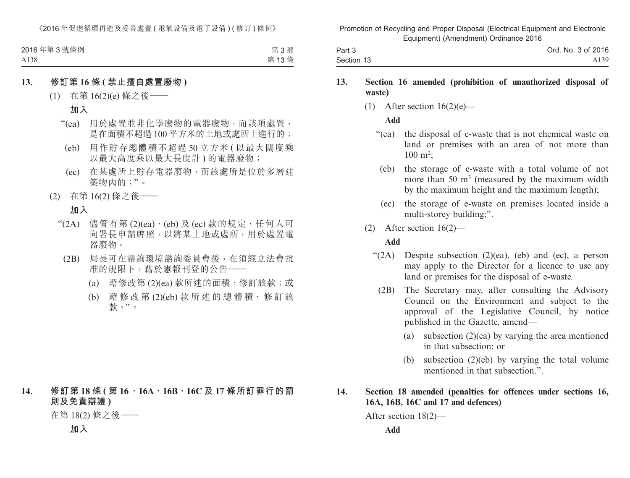| 2016年第3號條例 | 第3部  |
|------------|------|
| A138       | 第13條 |

#### **13. 修訂第 16 條 ( 禁止擅自處置廢物 )**

(1) 在第 16(2)(e) 條之後——

# **加入**

- "(ea) 用於處置並非化學廢物的電器廢物,而該項處置, 是在面積不超過 100 平方米的土地或處所上進行的;
	- (eb) 用作貯存總體積不超過 50 立方米 ( 以最大闊度乘 以最大高度乘以最大長度計 ) 的電器廢物;
	- (ec) 在某處所上貯存電器廢物,而該處所是位於多層建 築物內的;"。
- (2) 在第 16(2) 條之後——

# **加入**

- " $(2A)$  儘管有第 $(2)$  $(ea) \cdot (eb)$ 及 $(ec)$ 款的規定,任何人可 向署長申請牌照,以將某土地或處所,用於處置電 器廢物。
	- (2B) 局長可在諮詢環境諮詢委員會後,在須經立法會批 准的規限下,藉於憲報刊登的公告–
		- (a) 藉修改第 (2)(ea) 款所述的面積,修訂該款;或
		- (b) 藉修改第 (2)(eb) 款 所 述 的 總 體 積,修 訂 該 款。"。

# **14. 修訂第 18 條 ( 第 16、16A、16B、16C 及 17 條所訂罪行的罰 則及免責辯護 )**

在第 18(2) 條之後——

**加入**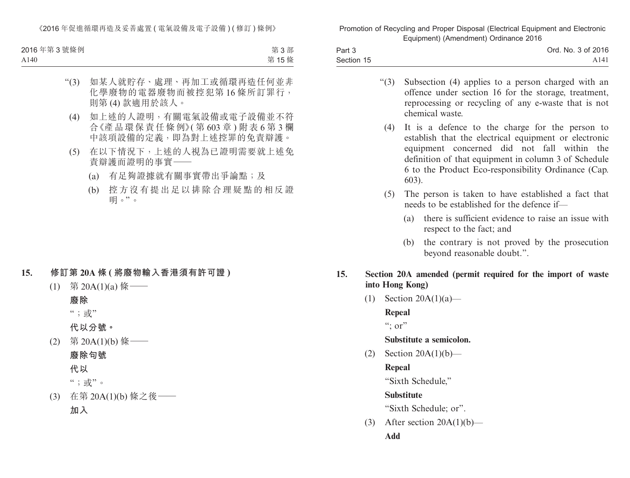| 2016年第3號條例 | 第3部  |
|------------|------|
| A140       | 第15條 |

- "(3) 如某人就貯存、處理、再加工或循環再造任何並非 化學廢物的電器廢物而被控犯第16條所訂罪行, 則第 (4) 款適用於該人。
	- (4) 如上述的人證明,有關電氣設備或電子設備並不符 合《產品環保責任條例》( 第 603 章 ) 附表 6 第 3 欄 中該項設備的定義,即為對上述控罪的免責辯護。
	- (5) 在以下情況下,上述的人視為已證明需要就上述免 責辯護而證明的事實——
		- (a) 有足夠證據就有關事實帶出爭論點;及
		- (b) 控方沒有提出足以排除合理疑點的相反證 明。"。

## **15. 修訂第 20A 條 ( 將廢物輸入香港須有許可證 )**

 $(1)$  第 20A(1)(a) 條 ——

#### **廢除**

";或"

**代以分號。**

(2) 第 20A(1)(b) 條—— **廢除句號**

**代以**

";或"。

(3) 在第 20A(1)(b) 條之後—— **加入**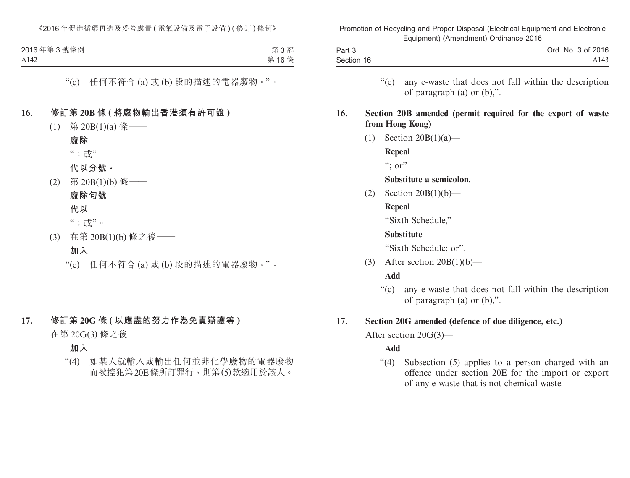| 2016年第3號條例 | 第3部  |
|------------|------|
| A142       | 第16條 |

# "(c) 任何不符合 (a) 或 (b) 段的描述的電器廢物。"。

### **16. 修訂第 20B 條 ( 將廢物輸出香港須有許可證 )**

- (1) 第 20B(1)(a) 條——
- **廢除** ";或" **代以分號。** (2) 第 20B(1)(b) 條——
- **廢除句號 代以** ";或"。
- (3) 在第 20B(1)(b) 條之後——
	- **加入**

"(c) 任何不符合 (a) 或 (b) 段的描述的電器廢物。"。

# **17. 修訂第 20G 條 ( 以應盡的努力作為免責辯護等 )**

在第 20G(3) 條之後——

**加入**

"(4) 如某人就輸入或輸出任何並非化學廢物的電器廢物 而被控犯第20E條所訂罪行,則第(5)款適用於該人。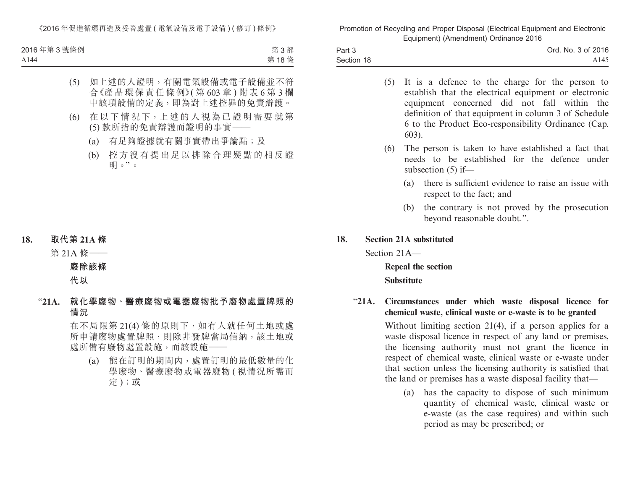| 2016年第3號條例 | 第3部  |
|------------|------|
| A144       | 第18條 |

- (5) 如上述的人證明,有關電氣設備或電子設備並不符 合《產品環保責任條例》( 第 603 章 ) 附表 6 第 3 欄 中該項設備的定義,即為對上述控罪的免責辯護。
- (6) 在 以 下 情 況 下,上 述 的 人 視 為 已 證 明 需 要 就 第 (5) 款所指的免責辯護而證明的事實——
	- (a) 有足夠證據就有關事實帶出爭論點;及
	- (b) 控方沒有提出足以排除合理疑點的相反證 明。"。

**18. 取代第 21A 條**

**廢除該條**

### **代以**

"**21A. 就化學廢物、醫療廢物或電器廢物批予廢物處置牌照的 情況**

> 在不局限第 21(4) 條的原則下,如有人就任何土地或處 所申請廢物處置牌照,則除非發牌當局信納,該土地或 處所備有廢物處置設施,而該設施——

(a) 能在訂明的期間內,處置訂明的最低數量的化 學廢物、醫療廢物或電器廢物 ( 視情況所需而 定);或

第 21A 條——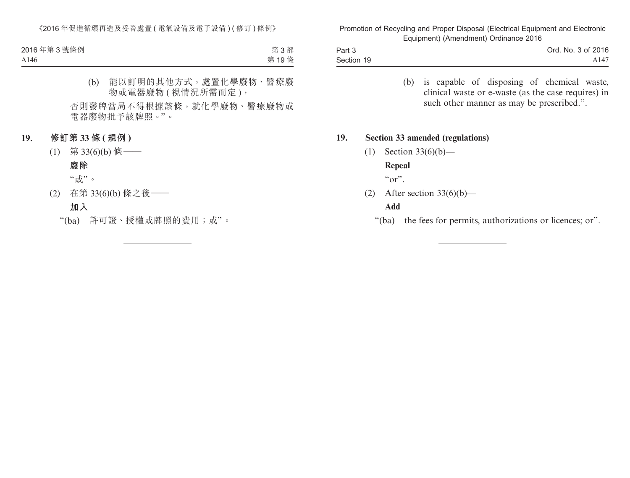| 2016年第3號條例       | 第3部  |
|------------------|------|
| A <sub>146</sub> | 第19條 |

(b) 能以訂明的其他方式,處置化學廢物、醫療廢 物或電器廢物 ( 視情況所需而定 ),

否則發牌當局不得根據該條,就化學廢物、醫療廢物或 電器廢物批予該牌照。"。

### **19. 修訂第 33 條 ( 規例 )**

- $(1)$  第 33(6)(b) 條
	- **廢除**

"或"。

(2) 在第 33(6)(b) 條之後——

# **加入**

"(ba) 許可證、授權或牌照的費用;或"。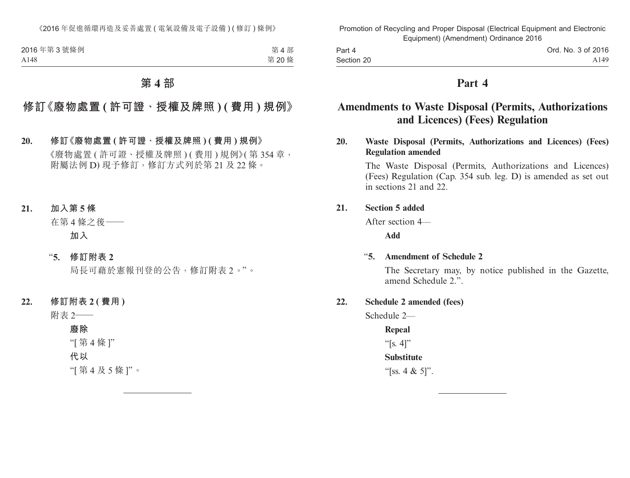| 2016年第3號條例 | 第4部  |
|------------|------|
| A148       | 第20條 |

# **第 4 部**

# **修訂《廢物處置 ( 許可證、授權及牌照 ) ( 費用 ) 規例》**

- **20. 修訂《廢物處置 ( 許可證、授權及牌照 ) ( 費用 ) 規例》** 《廢物處置 ( 許可證、授權及牌照 ) ( 費用 ) 規例》( 第 354 章, 附屬法例 D) 現予修訂, 修訂方式列於第 21 及 22 條。
- **21. 加入第 5 條**

在第 4 條之後——

**加入**

"**5. 修訂附表 2**

局長可藉於憲報刊登的公告,修訂附表 2。"。

**22. 修訂附表 2 ( 費用 )**

附表 2——

**廢除**

"[ 第 4 條 ]"

**代以**

"[ 第 4 及 5 條 ]"。